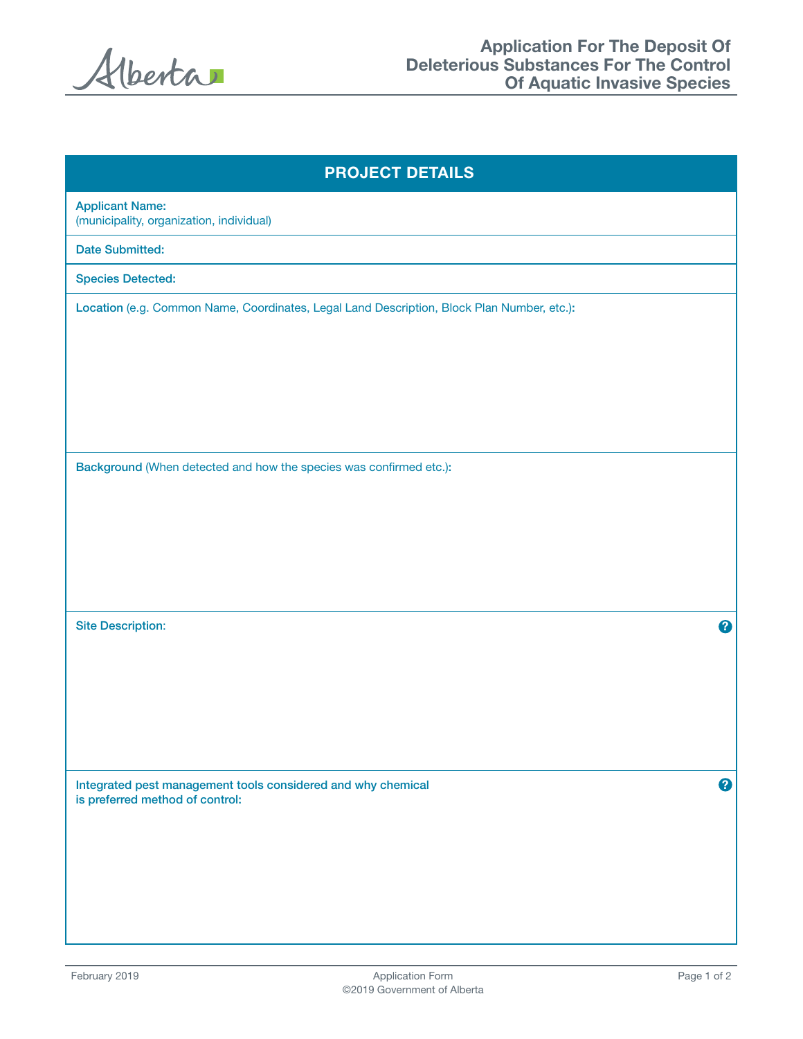Alberta

| <b>PROJECT DETAILS</b>                                                                               |  |  |
|------------------------------------------------------------------------------------------------------|--|--|
| <b>Applicant Name:</b><br>(municipality, organization, individual)                                   |  |  |
| <b>Date Submitted:</b>                                                                               |  |  |
| <b>Species Detected:</b>                                                                             |  |  |
| Location (e.g. Common Name, Coordinates, Legal Land Description, Block Plan Number, etc.):           |  |  |
| Background (When detected and how the species was confirmed etc.):                                   |  |  |
| <b>Site Description:</b><br>2                                                                        |  |  |
|                                                                                                      |  |  |
| 0<br>Integrated pest management tools considered and why chemical<br>is preferred method of control: |  |  |